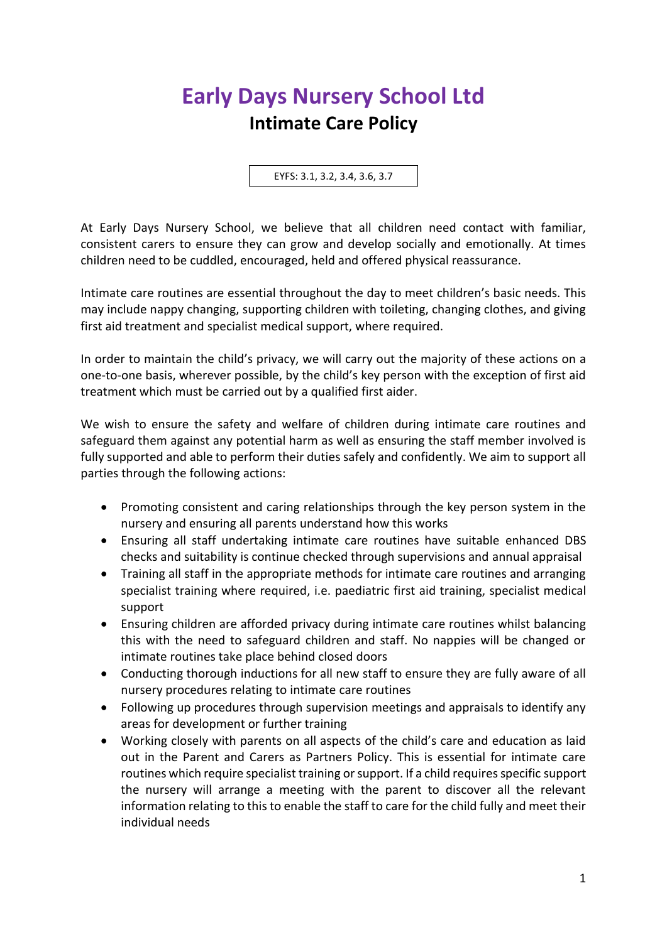## **Early Days Nursery School Ltd Intimate Care Policy**

EYFS: 3.1, 3.2, 3.4, 3.6, 3.7

At Early Days Nursery School, we believe that all children need contact with familiar, consistent carers to ensure they can grow and develop socially and emotionally. At times children need to be cuddled, encouraged, held and offered physical reassurance.

Intimate care routines are essential throughout the day to meet children's basic needs. This may include nappy changing, supporting children with toileting, changing clothes, and giving first aid treatment and specialist medical support, where required.

In order to maintain the child's privacy, we will carry out the majority of these actions on a one-to-one basis, wherever possible, by the child's key person with the exception of first aid treatment which must be carried out by a qualified first aider.

We wish to ensure the safety and welfare of children during intimate care routines and safeguard them against any potential harm as well as ensuring the staff member involved is fully supported and able to perform their duties safely and confidently. We aim to support all parties through the following actions:

- Promoting consistent and caring relationships through the key person system in the nursery and ensuring all parents understand how this works
- Ensuring all staff undertaking intimate care routines have suitable enhanced DBS checks and suitability is continue checked through supervisions and annual appraisal
- Training all staff in the appropriate methods for intimate care routines and arranging specialist training where required, i.e. paediatric first aid training, specialist medical support
- Ensuring children are afforded privacy during intimate care routines whilst balancing this with the need to safeguard children and staff. No nappies will be changed or intimate routines take place behind closed doors
- Conducting thorough inductions for all new staff to ensure they are fully aware of all nursery procedures relating to intimate care routines
- Following up procedures through supervision meetings and appraisals to identify any areas for development or further training
- Working closely with parents on all aspects of the child's care and education as laid out in the Parent and Carers as Partners Policy. This is essential for intimate care routines which require specialist training or support. If a child requires specific support the nursery will arrange a meeting with the parent to discover all the relevant information relating to this to enable the staff to care for the child fully and meet their individual needs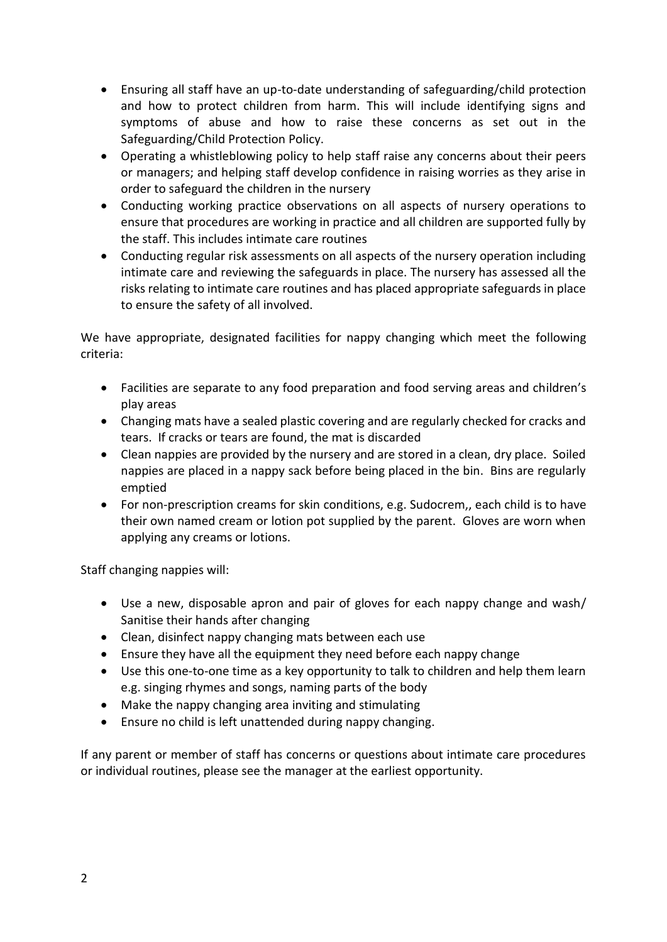- Ensuring all staff have an up-to-date understanding of safeguarding/child protection and how to protect children from harm. This will include identifying signs and symptoms of abuse and how to raise these concerns as set out in the Safeguarding/Child Protection Policy.
- Operating a whistleblowing policy to help staff raise any concerns about their peers or managers; and helping staff develop confidence in raising worries as they arise in order to safeguard the children in the nursery
- Conducting working practice observations on all aspects of nursery operations to ensure that procedures are working in practice and all children are supported fully by the staff. This includes intimate care routines
- Conducting regular risk assessments on all aspects of the nursery operation including intimate care and reviewing the safeguards in place. The nursery has assessed all the risks relating to intimate care routines and has placed appropriate safeguards in place to ensure the safety of all involved.

We have appropriate, designated facilities for nappy changing which meet the following criteria:

- Facilities are separate to any food preparation and food serving areas and children's play areas
- Changing mats have a sealed plastic covering and are regularly checked for cracks and tears. If cracks or tears are found, the mat is discarded
- Clean nappies are provided by the nursery and are stored in a clean, dry place. Soiled nappies are placed in a nappy sack before being placed in the bin. Bins are regularly emptied
- For non-prescription creams for skin conditions, e.g. Sudocrem,, each child is to have their own named cream or lotion pot supplied by the parent. Gloves are worn when applying any creams or lotions.

Staff changing nappies will:

- Use a new, disposable apron and pair of gloves for each nappy change and wash/ Sanitise their hands after changing
- Clean, disinfect nappy changing mats between each use
- Ensure they have all the equipment they need before each nappy change
- Use this one-to-one time as a key opportunity to talk to children and help them learn e.g. singing rhymes and songs, naming parts of the body
- Make the nappy changing area inviting and stimulating
- Ensure no child is left unattended during nappy changing.

If any parent or member of staff has concerns or questions about intimate care procedures or individual routines, please see the manager at the earliest opportunity.